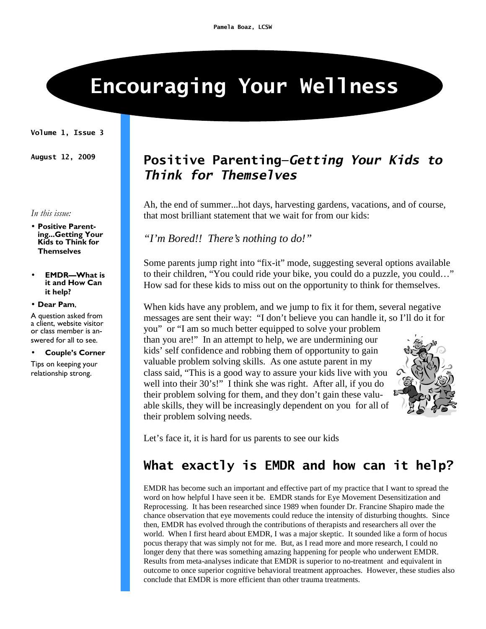# Encouraging Your Wellness

Volume 1, Issue 3

In this issue:

• Positive Parenting...Getting Your Kids to Think for Themselves

• EMDR—What is it and How Can it help?

#### • Dear Pam,

A question asked from a client, website visitor or class member is answered for all to see.

#### • Couple's Corner

Tips on keeping your relationship strong.

### August 12, 2009 Positive Parenting-Getting Your Kids to Think for Themselves

Ah, the end of summer...hot days, harvesting gardens, vacations, and of course, that most brilliant statement that we wait for from our kids:

*"I'm Bored!! There's nothing to do!"* 

Some parents jump right into "fix-it" mode, suggesting several options available to their children, "You could ride your bike, you could do a puzzle, you could…" How sad for these kids to miss out on the opportunity to think for themselves.

When kids have any problem, and we jump to fix it for them, several negative messages are sent their way: "I don't believe you can handle it, so I'll do it for

you" or "I am so much better equipped to solve your problem than you are!" In an attempt to help, we are undermining our kids' self confidence and robbing them of opportunity to gain valuable problem solving skills. As one astute parent in my class said, "This is a good way to assure your kids live with you well into their 30's!" I think she was right. After all, if you do their problem solving for them, and they don't gain these valuable skills, they will be increasingly dependent on you for all of their problem solving needs.



Let's face it, it is hard for us parents to see our kids

# What exactly is EMDR and how can it help?

EMDR has become such an important and effective part of my practice that I want to spread the word on how helpful I have seen it be. EMDR stands for Eye Movement Desensitization and Reprocessing. It has been researched since 1989 when founder Dr. Francine Shapiro made the chance observation that eye movements could reduce the intensity of disturbing thoughts. Since then, EMDR has evolved through the contributions of therapists and researchers all over the world. When I first heard about EMDR, I was a major skeptic. It sounded like a form of hocus pocus therapy that was simply not for me. But, as I read more and more research, I could no longer deny that there was something amazing happening for people who underwent EMDR. Results from meta-analyses indicate that EMDR is superior to no-treatment and equivalent in outcome to once superior cognitive behavioral treatment approaches. However, these studies also conclude that EMDR is more efficient than other trauma treatments.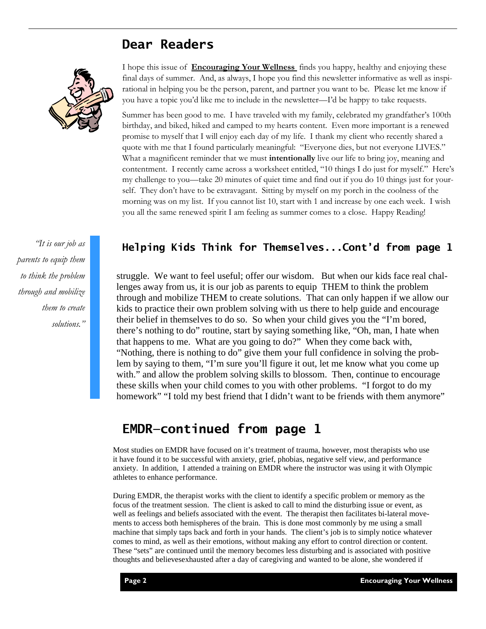### Dear Readers



"It is our job as parents to equip them to think the problem through and mobilize them to create solutions." I hope this issue of **Encouraging Your Wellness** finds you happy, healthy and enjoying these final days of summer. And, as always, I hope you find this newsletter informative as well as inspirational in helping you be the person, parent, and partner you want to be. Please let me know if you have a topic you'd like me to include in the newsletter—I'd be happy to take requests.

Summer has been good to me. I have traveled with my family, celebrated my grandfather's 100th birthday, and biked, hiked and camped to my hearts content. Even more important is a renewed promise to myself that I will enjoy each day of my life. I thank my client who recently shared a quote with me that I found particularly meaningful: "Everyone dies, but not everyone LIVES." What a magnificent reminder that we must **intentionally** live our life to bring joy, meaning and contentment. I recently came across a worksheet entitled, "10 things I do just for myself." Here's my challenge to you—take 20 minutes of quiet time and find out if you do 10 things just for yourself. They don't have to be extravagant. Sitting by myself on my porch in the coolness of the morning was on my list. If you cannot list 10, start with 1 and increase by one each week. I wish you all the same renewed spirit I am feeling as summer comes to a close. Happy Reading!

#### Helping Kids Think for Themselves...Cont'd from page 1

struggle. We want to feel useful; offer our wisdom. But when our kids face real challenges away from us, it is our job as parents to equip THEM to think the problem through and mobilize THEM to create solutions. That can only happen if we allow our kids to practice their own problem solving with us there to help guide and encourage their belief in themselves to do so. So when your child gives you the "I'm bored, there's nothing to do" routine, start by saying something like, "Oh, man, I hate when that happens to me. What are you going to do?" When they come back with, "Nothing, there is nothing to do" give them your full confidence in solving the problem by saying to them, "I'm sure you'll figure it out, let me know what you come up with." and allow the problem solving skills to blossom. Then, continue to encourage these skills when your child comes to you with other problems. "I forgot to do my homework" "I told my best friend that I didn't want to be friends with them anymore"

#### EMDR—continued from page 1

Most studies on EMDR have focused on it's treatment of trauma, however, most therapists who use it have found it to be successful with anxiety, grief, phobias, negative self view, and performance anxiety. In addition, I attended a training on EMDR where the instructor was using it with Olympic athletes to enhance performance.

During EMDR, the therapist works with the client to identify a specific problem or memory as the focus of the treatment session. The client is asked to call to mind the disturbing issue or event, as well as feelings and beliefs associated with the event. The therapist then facilitates bi-lateral movements to access both hemispheres of the brain. This is done most commonly by me using a small machine that simply taps back and forth in your hands. The client's job is to simply notice whatever comes to mind, as well as their emotions, without making any effort to control direction or content. These "sets" are continued until the memory becomes less disturbing and is associated with positive thoughts and believesexhausted after a day of caregiving and wanted to be alone, she wondered if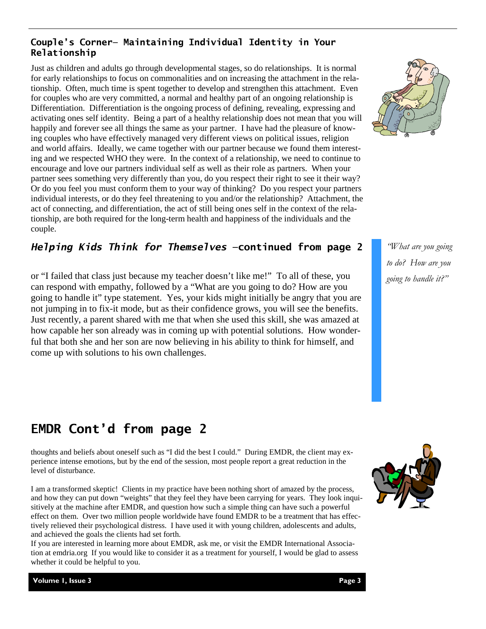#### Couple's Corner— Maintaining Individual Identity in Your Relationship

Just as children and adults go through developmental stages, so do relationships. It is normal for early relationships to focus on commonalities and on increasing the attachment in the relationship. Often, much time is spent together to develop and strengthen this attachment. Even for couples who are very committed, a normal and healthy part of an ongoing relationship is Differentiation. Differentiation is the ongoing process of defining, revealing, expressing and activating ones self identity. Being a part of a healthy relationship does not mean that you will happily and forever see all things the same as your partner. I have had the pleasure of knowing couples who have effectively managed very different views on political issues, religion and world affairs. Ideally, we came together with our partner because we found them interesting and we respected WHO they were. In the context of a relationship, we need to continue to encourage and love our partners individual self as well as their role as partners. When your partner sees something very differently than you, do you respect their right to see it their way? Or do you feel you must conform them to your way of thinking? Do you respect your partners individual interests, or do they feel threatening to you and/or the relationship? Attachment, the act of connecting, and differentiation, the act of still being ones self in the context of the relationship, are both required for the long-term health and happiness of the individuals and the couple.

#### Helping Kids Think for Themselves —continued from page 2

or "I failed that class just because my teacher doesn't like me!" To all of these, you can respond with empathy, followed by a "What are you going to do? How are you going to handle it" type statement. Yes, your kids might initially be angry that you are not jumping in to fix-it mode, but as their confidence grows, you will see the benefits. Just recently, a parent shared with me that when she used this skill, she was amazed at how capable her son already was in coming up with potential solutions. How wonderful that both she and her son are now believing in his ability to think for himself, and come up with solutions to his own challenges.

"What are you going to do? How are you going to handle it?"

# EMDR Cont'd from page 2

thoughts and beliefs about oneself such as "I did the best I could." During EMDR, the client may experience intense emotions, but by the end of the session, most people report a great reduction in the level of disturbance.

I am a transformed skeptic! Clients in my practice have been nothing short of amazed by the process, and how they can put down "weights" that they feel they have been carrying for years. They look inquisitively at the machine after EMDR, and question how such a simple thing can have such a powerful effect on them. Over two million people worldwide have found EMDR to be a treatment that has effectively relieved their psychological distress. I have used it with young children, adolescents and adults, and achieved the goals the clients had set forth.

If you are interested in learning more about EMDR, ask me, or visit the EMDR International Association at emdria.org If you would like to consider it as a treatment for yourself, I would be glad to assess whether it could be helpful to you.